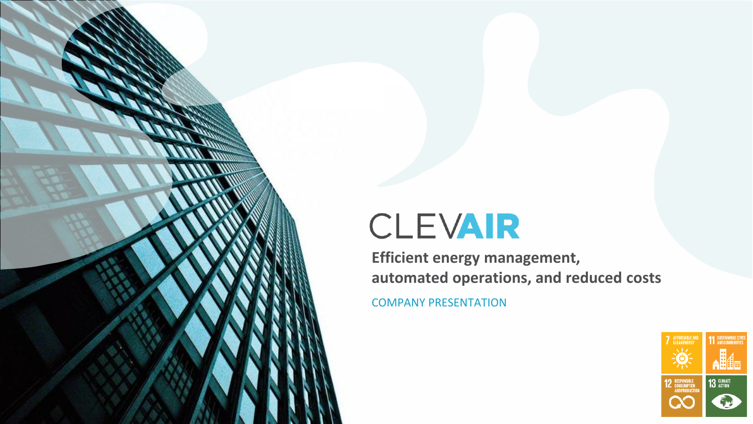# CLEVAIR

COMPANY PRESENTATION **Efficient energy management, automated operations, and reduced costs**

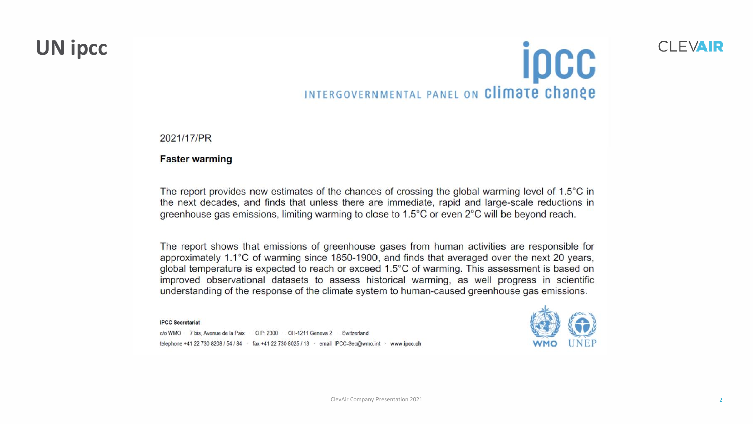### **UN ipcc**

# **ipcc** INTERGOVERNMENTAL PANEL ON Climate change

2021/17/PR

**Faster warming** 

The report provides new estimates of the chances of crossing the global warming level of 1.5°C in the next decades, and finds that unless there are immediate, rapid and large-scale reductions in greenhouse gas emissions, limiting warming to close to 1.5°C or even 2°C will be beyond reach.

The report shows that emissions of greenhouse gases from human activities are responsible for approximately 1.1°C of warming since 1850-1900, and finds that averaged over the next 20 years, global temperature is expected to reach or exceed 1.5°C of warming. This assessment is based on improved observational datasets to assess historical warming, as well progress in scientific understanding of the response of the climate system to human-caused greenhouse gas emissions.

#### **IPCC Secretariat**

c/o WMO · 7 bis, Avenue de la Paix · C.P: 2300 · CH-1211 Geneva 2 · Switzerland telephone +41 22 730 8208 / 54 / 84 · fax +41 22 730 8025 / 13 · email IPCC-Sec@wmo.int · www.ipcc.ch



CI FVAIR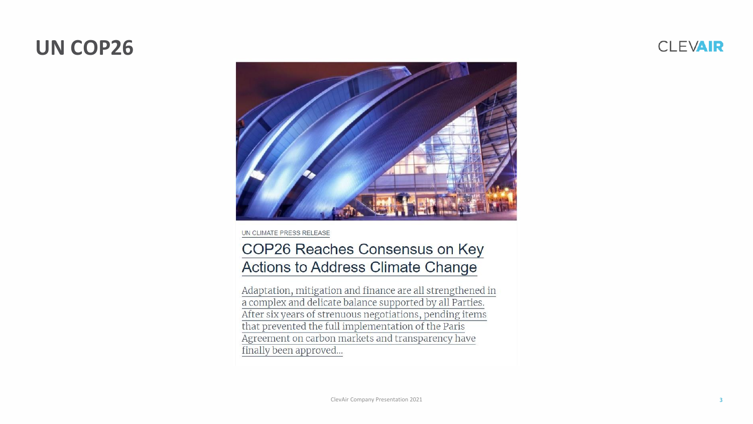### **UN COP26**





UN CLIMATE PRESS RELEASE

#### COP26 Reaches Consensus on Key Actions to Address Climate Change

Adaptation, mitigation and finance are all strengthened in a complex and delicate balance supported by all Parties. After six years of strenuous negotiations, pending items that prevented the full implementation of the Paris Agreement on carbon markets and transparency have finally been approved...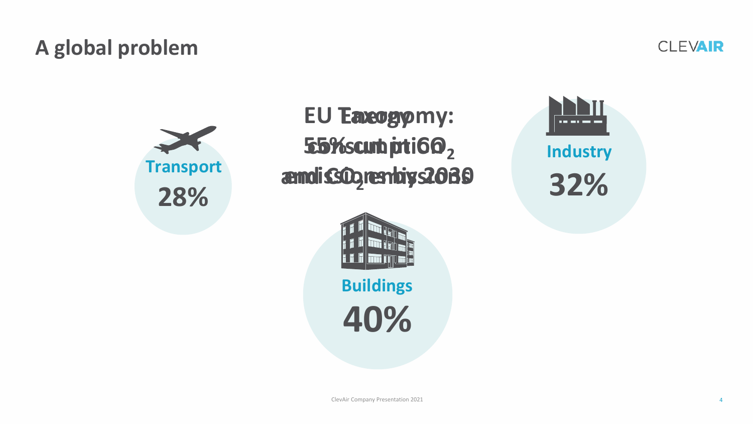### **A global problem**

**CLEVAIR** 



**EU Taxogymy: 55% cuth prion 2 and CO2 emissions emissions by 2030**



**40% Buildings**



**32% Industry**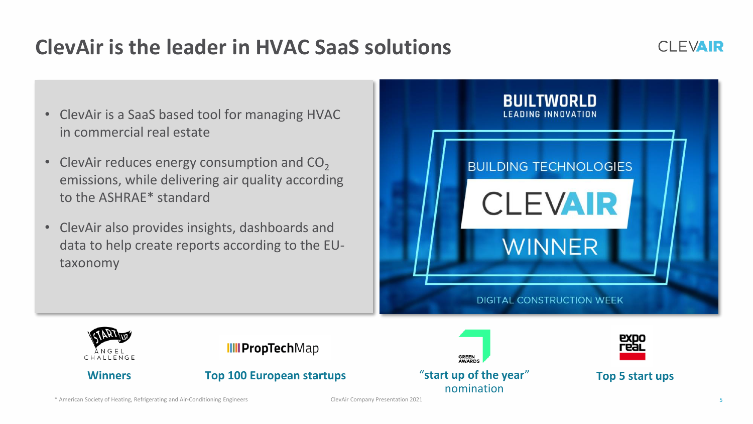## **ClevAir is the leader in HVAC SaaS solutions**



- ClevAir is a SaaS based tool for managing HVAC in commercial real estate
- ClevAir reduces energy consumption and  $CO<sub>2</sub>$ emissions, while delivering air quality according to the ASHRAE\* standard
- ClevAir also provides insights, dashboards and data to help create reports according to the EUtaxonomy











\* American Society of Heating, Refrigerating and Air-Conditioning Engineers ClevAir Company Presentation 2021 5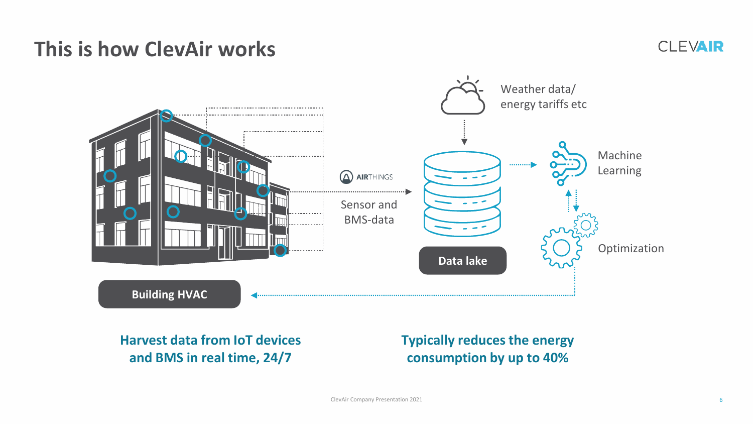### **This is how ClevAir works**

#### **CLEVAIR**



### **Harvest data from IoT devices and BMS in real time, 24/7**

**Typically reduces the energy consumption by up to 40%**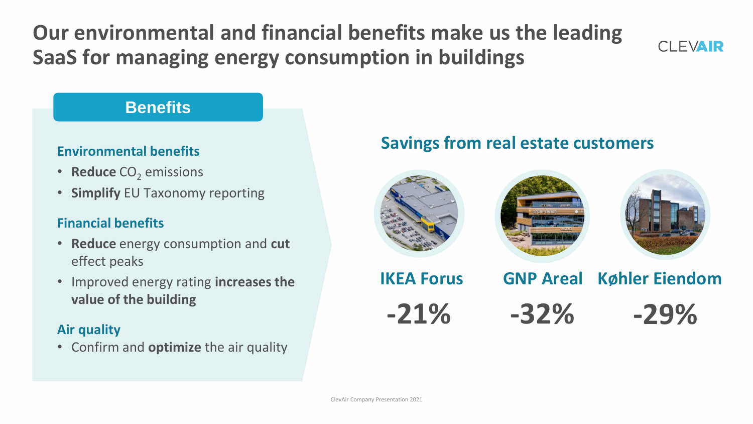**Our environmental and financial benefits make us the leading SaaS for managing energy consumption in buildings** 



### **Benefits**

- **Reduce** CO<sub>2</sub> emissions
- **Simplify** EU Taxonomy reporting

#### **Financial benefits**

- **Reduce** energy consumption and **cut** effect peaks
- Improved energy rating **increases the value of the building**

#### **Air quality**

• Confirm and **optimize** the air quality

### **Savings from real estate customers Environmental benefits**

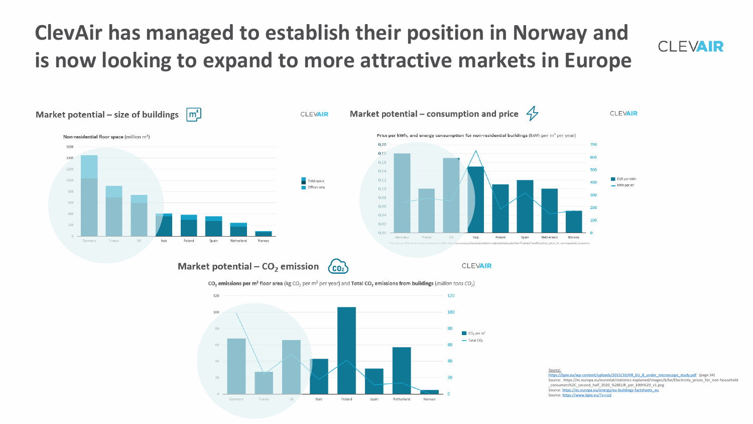## **ClevAir has managed to establish their position in Norway and is now looking to expand to more attractive markets in Europe**





France

UK.

Italy

Poland Spain Netherland

Source: [https://ec.europa.eu/energy/eu-buildings-factsheets\\_eu](https://ec.europa.eu/energy/eu-buildings-factsheets_eu) Source: <https://www.bpie.eu/?s=co2>